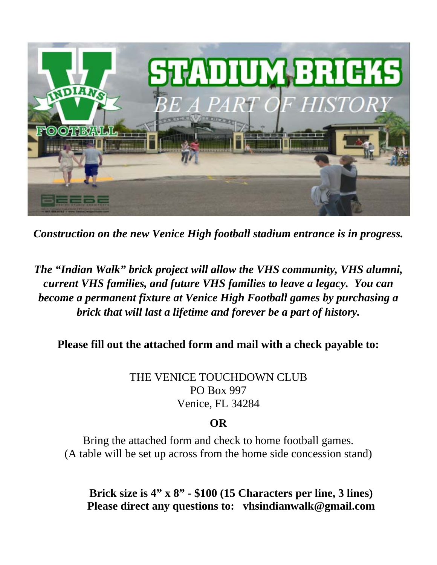

*Construction on the new Venice High football stadium entrance is in progress.* 

## *The "Indian Walk" brick project will allow the VHS community, VHS alumni, current VHS families, and future VHS families to leave a legacy. You can become a permanent fixture at Venice High Football games by purchasing a brick that will last a lifetime and forever be a part of history.*

**Please fill out the attached form and mail with a check payable to:** 

THE VENICE TOUCHDOWN CLUB PO Box 997 Venice, FL 34284

## **OR**

Bring the attached form and check to home football games. (A table will be set up across from the home side concession stand)

**Brick size is 4" x 8" - \$100 (15 Characters per line, 3 lines) Please direct any questions to: vhsindianwalk@gmail.com**